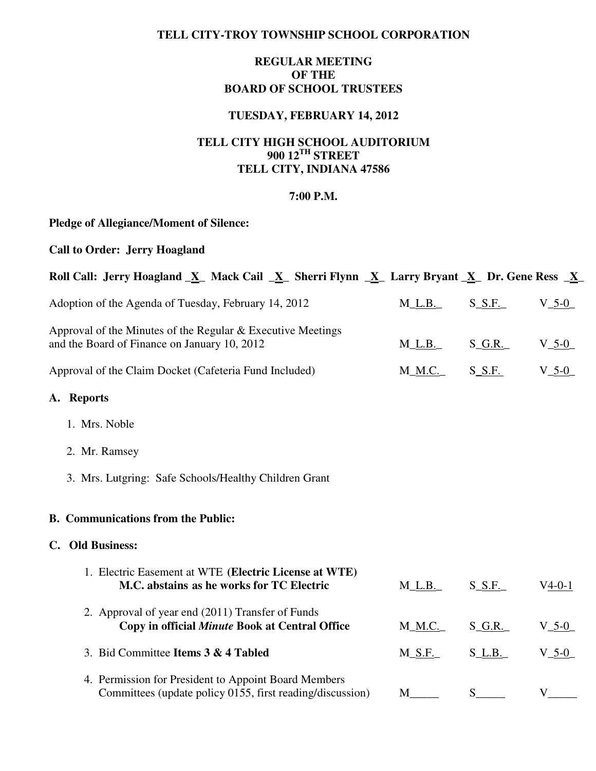#### **TELL CITY-TROY TOWNSHIP SCHOOL CORPORATION**

### **REGULAR MEETING OF THE BOARD OF SCHOOL TRUSTEES**

# **TUESDAY, FEBRUARY 14, 2012**

## **TELL CITY HIGH SCHOOL AUDITORIUM 900 12TH STREET TELL CITY, INDIANA 47586**

#### **7:00 P.M.**

# **Pledge of Allegiance/Moment of Silence:**

## **Call to Order: Jerry Hoagland**

| Roll Call: Jerry Hoagland $\underline{X}$ Mack Cail $\underline{X}$ Sherri Flynn $\underline{X}$ Larry Bryant $\underline{X}$ Dr. Gene Ress $\underline{X}$ |                |                       |             |
|-------------------------------------------------------------------------------------------------------------------------------------------------------------|----------------|-----------------------|-------------|
| Adoption of the Agenda of Tuesday, February 14, 2012                                                                                                        | $M_L.B.$       | $S_S.F.$              | $V_{-}$ 5-0 |
| Approval of the Minutes of the Regular $&$ Executive Meetings<br>and the Board of Finance on January 10, 2012                                               | $M_L.B.$       | $S_G.R.$              | $V_{-5-0}$  |
| Approval of the Claim Docket (Cafeteria Fund Included)                                                                                                      | M_ <u>M.C.</u> | $S_S.F.$              | $V_{-5-0}$  |
| A. Reports                                                                                                                                                  |                |                       |             |
| 1. Mrs. Noble                                                                                                                                               |                |                       |             |
| 2. Mr. Ramsey                                                                                                                                               |                |                       |             |
| 3. Mrs. Lutgring: Safe Schools/Healthy Children Grant                                                                                                       |                |                       |             |
| <b>B.</b> Communications from the Public:                                                                                                                   |                |                       |             |
| C. Old Business:                                                                                                                                            |                |                       |             |
| 1. Electric Easement at WTE (Electric License at WTE)<br>M.C. abstains as he works for TC Electric                                                          | $M_L.B_{-}$    | $S_S.F.$              | $V4-0-1$    |
| 2. Approval of year end (2011) Transfer of Funds<br>Copy in official Minute Book at Central Office                                                          | $M\_M.C.$      | $S_G.R.$              | $V_{-5-0}$  |
| 3. Bid Committee Items 3 & 4 Tabled                                                                                                                         | $M_S.F.$       | $S_l$ _L.B.           | $V_{-}$ 5-0 |
| 4. Permission for President to Appoint Board Members<br>Committees (update policy 0155, first reading/discussion)                                           | M              | $S$ <sub>______</sub> | V           |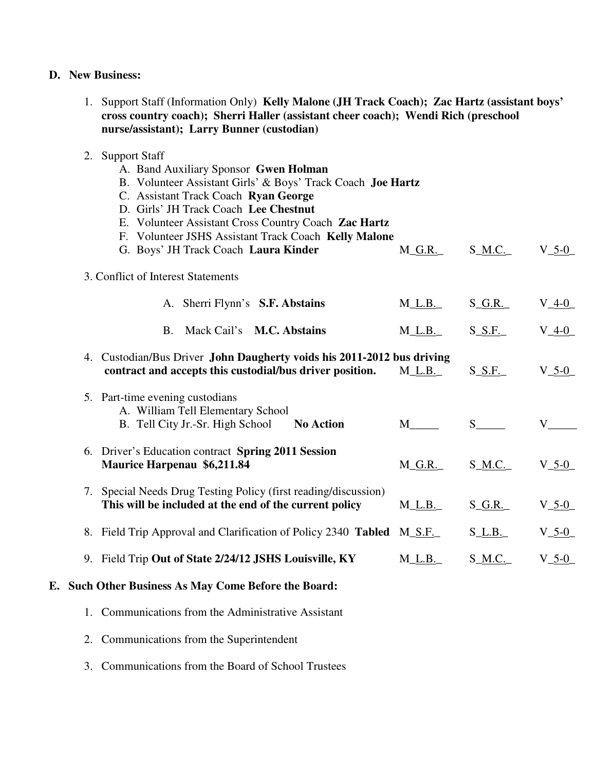#### **D. New Business:**

1. Support Staff (Information Only) **Kelly Malone (JH Track Coach); Zac Hartz (assistant boys' cross country coach); Sherri Haller (assistant cheer coach); Wendi Rich (preschool nurse/assistant); Larry Bunner (custodian)** 

#### 2. Support Staff

A. Band Auxiliary Sponsor **Gwen Holman** B. Volunteer Assistant Girls' & Boys' Track Coach **Joe Hartz** C. Assistant Track Coach **Ryan George** D. Girls' JH Track Coach **Lee Chestnut** E. Volunteer Assistant Cross Country Coach **Zac Hartz** F. Volunteer JSHS Assistant Track Coach **Kelly Malone** G. Boys' JH Track Coach Laura Kinder M<sub>\_G</sub>.R.<sub>\_</sub> S\_M.C.<sub>\_</sub> V\_5-0\_ 3. Conflict of Interest Statements A. Sherri Flynn's **S.F. Abstains** M\_L.B.\_ S\_G.R.\_ V\_4-0\_ B. Mack Cail's **M.C. Abstains** M\_L.B.\_ S\_S.F.\_ V\_4-0\_ 4. Custodian/Bus Driver **John Daugherty voids his 2011-2012 bus driving contract and accepts this custodial/bus driver position.** M\_L.B. S\_S.F. V\_5-0\_ 5. Part-time evening custodians A. William Tell Elementary School B. Tell City Jr.-Sr. High School **No Action** M\_\_\_\_ S\_\_\_\_ V\_\_\_\_ 6. Driver's Education contract **Spring 2011 Session Maurice Harpenau \$6,211.84** M\_G.R.\_ S\_M.C.\_ V\_5-0\_ 7. Special Needs Drug Testing Policy (first reading/discussion) **This will be included at the end of the current policy** M\_L.B. S\_G.R. V\_5-0\_ 8. Field Trip Approval and Clarification of Policy 2340 **Tabled** M\_S.F. S\_L.B. V\_5-0\_ 9. Field Trip **Out of State 2/24/12 JSHS Louisville, KY** M\_L.B. S\_M.C. V\_5-0

## **E. Such Other Business As May Come Before the Board:**

- 1. Communications from the Administrative Assistant
- 2. Communications from the Superintendent
- 3. Communications from the Board of School Trustees